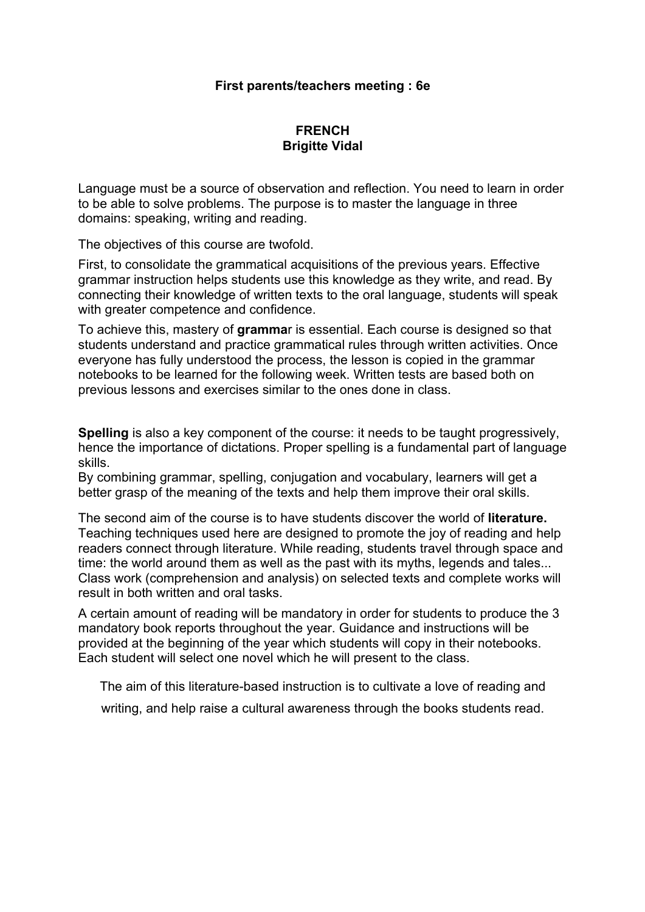#### **First parents/teachers meeting : 6e**

## **FRENCH Brigitte Vidal**

Language must be a source of observation and reflection. You need to learn in order to be able to solve problems. The purpose is to master the language in three domains: speaking, writing and reading.

The objectives of this course are twofold.

First, to consolidate the grammatical acquisitions of the previous years. Effective grammar instruction helps students use this knowledge as they write, and read. By connecting their knowledge of written texts to the oral language, students will speak with greater competence and confidence.

To achieve this, mastery of **gramma**r is essential. Each course is designed so that students understand and practice grammatical rules through written activities. Once everyone has fully understood the process, the lesson is copied in the grammar notebooks to be learned for the following week. Written tests are based both on previous lessons and exercises similar to the ones done in class.

**Spelling** is also a key component of the course: it needs to be taught progressively, hence the importance of dictations. Proper spelling is a fundamental part of language skills.

By combining grammar, spelling, conjugation and vocabulary, learners will get a better grasp of the meaning of the texts and help them improve their oral skills.

The second aim of the course is to have students discover the world of **literature.** Teaching techniques used here are designed to promote the joy of reading and help readers connect through literature. While reading, students travel through space and time: the world around them as well as the past with its myths, legends and tales... Class work (comprehension and analysis) on selected texts and complete works will result in both written and oral tasks.

A certain amount of reading will be mandatory in order for students to produce the 3 mandatory book reports throughout the year. Guidance and instructions will be provided at the beginning of the year which students will copy in their notebooks. Each student will select one novel which he will present to the class.

The aim of this literature-based instruction is to cultivate a love of reading and writing, and help raise a cultural awareness through the books students read.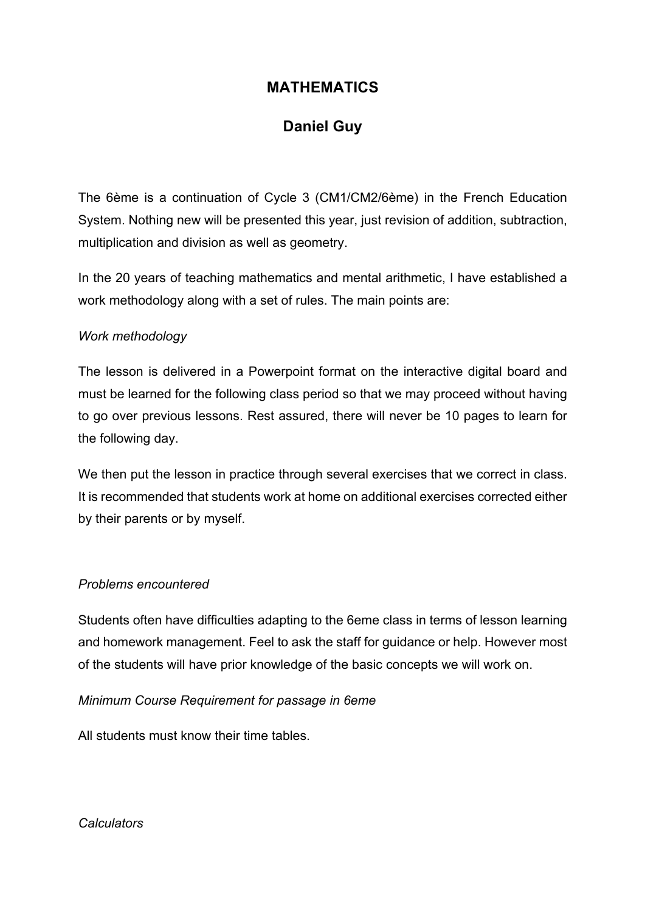## **MATHEMATICS**

# **Daniel Guy**

The 6ème is a continuation of Cycle 3 (CM1/CM2/6ème) in the French Education System. Nothing new will be presented this year, just revision of addition, subtraction, multiplication and division as well as geometry.

In the 20 years of teaching mathematics and mental arithmetic, I have established a work methodology along with a set of rules. The main points are:

## *Work methodology*

The lesson is delivered in a Powerpoint format on the interactive digital board and must be learned for the following class period so that we may proceed without having to go over previous lessons. Rest assured, there will never be 10 pages to learn for the following day.

We then put the lesson in practice through several exercises that we correct in class. It is recommended that students work at home on additional exercises corrected either by their parents or by myself.

#### *Problems encountered*

Students often have difficulties adapting to the 6eme class in terms of lesson learning and homework management. Feel to ask the staff for guidance or help. However most of the students will have prior knowledge of the basic concepts we will work on.

*Minimum Course Requirement for passage in 6eme*

All students must know their time tables.

*Calculators*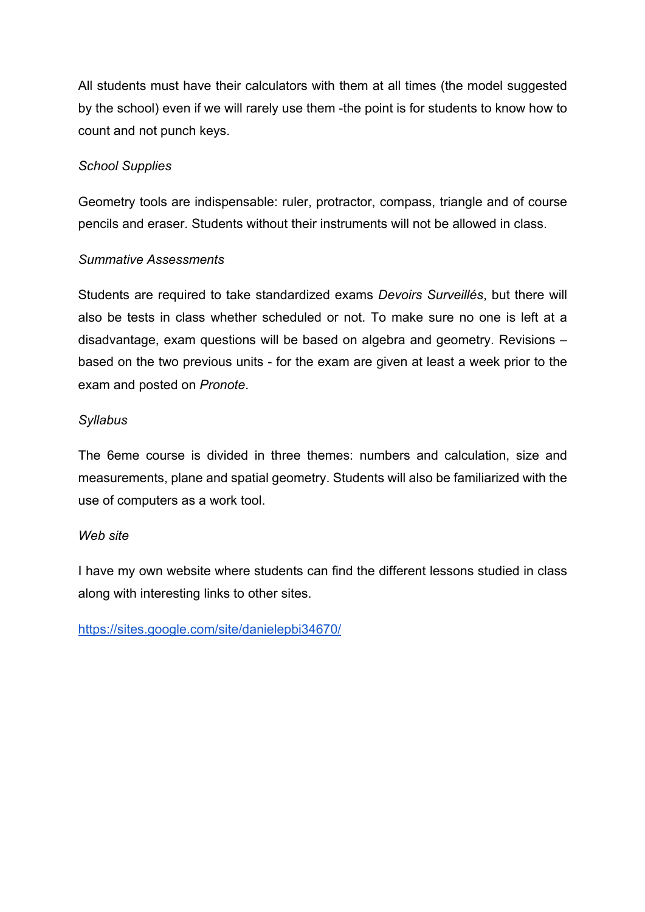All students must have their calculators with them at all times (the model suggested by the school) even if we will rarely use them -the point is for students to know how to count and not punch keys.

## *School Supplies*

Geometry tools are indispensable: ruler, protractor, compass, triangle and of course pencils and eraser. Students without their instruments will not be allowed in class.

## *Summative Assessments*

Students are required to take standardized exams *Devoirs Surveillés*, but there will also be tests in class whether scheduled or not. To make sure no one is left at a disadvantage, exam questions will be based on algebra and geometry. Revisions – based on the two previous units - for the exam are given at least a week prior to the exam and posted on *Pronote*.

## *Syllabus*

The 6eme course is divided in three themes: numbers and calculation, size and measurements, plane and spatial geometry. Students will also be familiarized with the use of computers as a work tool.

#### *Web site*

I have my own website where students can find the different lessons studied in class along with interesting links to other sites.

https://sites.google.com/site/danielepbi34670/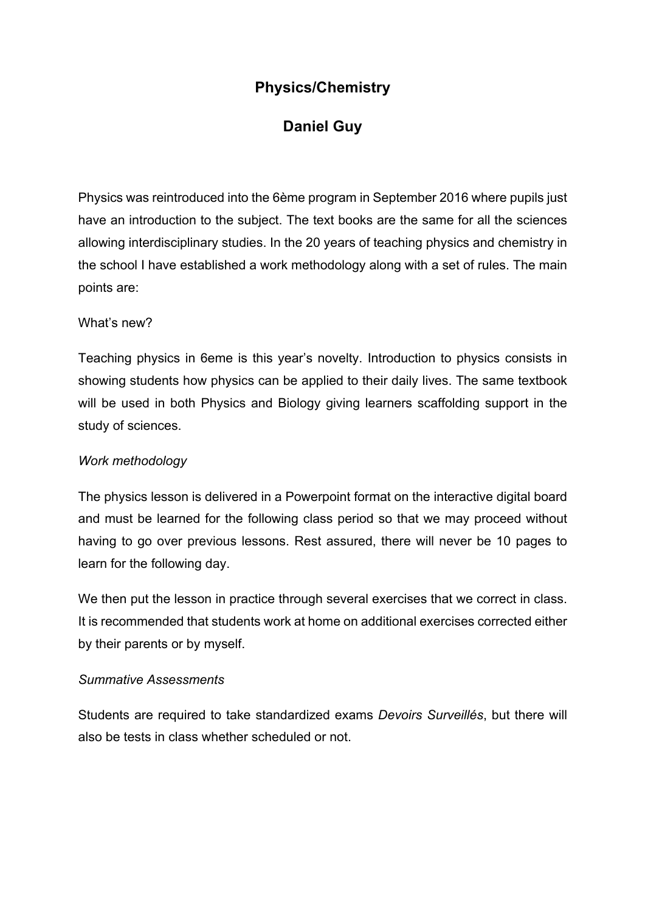# **Physics/Chemistry**

# **Daniel Guy**

Physics was reintroduced into the 6ème program in September 2016 where pupils just have an introduction to the subject. The text books are the same for all the sciences allowing interdisciplinary studies. In the 20 years of teaching physics and chemistry in the school I have established a work methodology along with a set of rules. The main points are:

## What's new?

Teaching physics in 6eme is this year's novelty. Introduction to physics consists in showing students how physics can be applied to their daily lives. The same textbook will be used in both Physics and Biology giving learners scaffolding support in the study of sciences.

## *Work methodology*

The physics lesson is delivered in a Powerpoint format on the interactive digital board and must be learned for the following class period so that we may proceed without having to go over previous lessons. Rest assured, there will never be 10 pages to learn for the following day.

We then put the lesson in practice through several exercises that we correct in class. It is recommended that students work at home on additional exercises corrected either by their parents or by myself.

## *Summative Assessments*

Students are required to take standardized exams *Devoirs Surveillés*, but there will also be tests in class whether scheduled or not.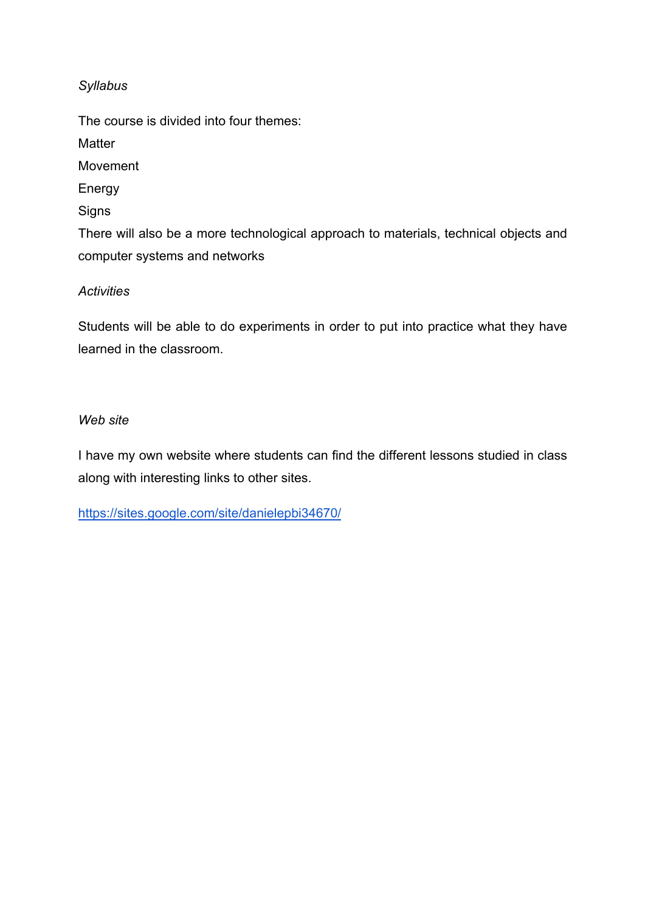## *Syllabus*

The course is divided into four themes: **Matter** Movement Energy **Signs** There will also be a more technological approach to materials, technical objects and computer systems and networks

## *Activities*

Students will be able to do experiments in order to put into practice what they have learned in the classroom.

## *Web site*

I have my own website where students can find the different lessons studied in class along with interesting links to other sites.

https://sites.google.com/site/danielepbi34670/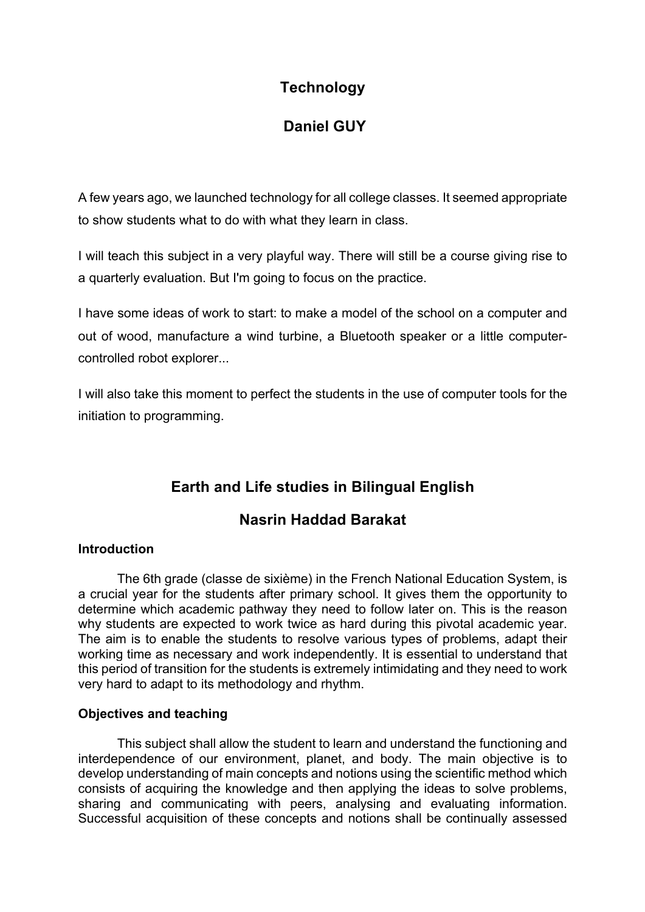# **Technology**

# **Daniel GUY**

A few years ago, we launched technology for all college classes. It seemed appropriate to show students what to do with what they learn in class.

I will teach this subject in a very playful way. There will still be a course giving rise to a quarterly evaluation. But I'm going to focus on the practice.

I have some ideas of work to start: to make a model of the school on a computer and out of wood, manufacture a wind turbine, a Bluetooth speaker or a little computercontrolled robot explorer...

I will also take this moment to perfect the students in the use of computer tools for the initiation to programming.

# **Earth and Life studies in Bilingual English**

# **Nasrin Haddad Barakat**

#### **Introduction**

The 6th grade (classe de sixième) in the French National Education System, is a crucial year for the students after primary school. It gives them the opportunity to determine which academic pathway they need to follow later on. This is the reason why students are expected to work twice as hard during this pivotal academic year. The aim is to enable the students to resolve various types of problems, adapt their working time as necessary and work independently. It is essential to understand that this period of transition for the students is extremely intimidating and they need to work very hard to adapt to its methodology and rhythm.

#### **Objectives and teaching**

This subject shall allow the student to learn and understand the functioning and interdependence of our environment, planet, and body. The main objective is to develop understanding of main concepts and notions using the scientific method which consists of acquiring the knowledge and then applying the ideas to solve problems, sharing and communicating with peers, analysing and evaluating information. Successful acquisition of these concepts and notions shall be continually assessed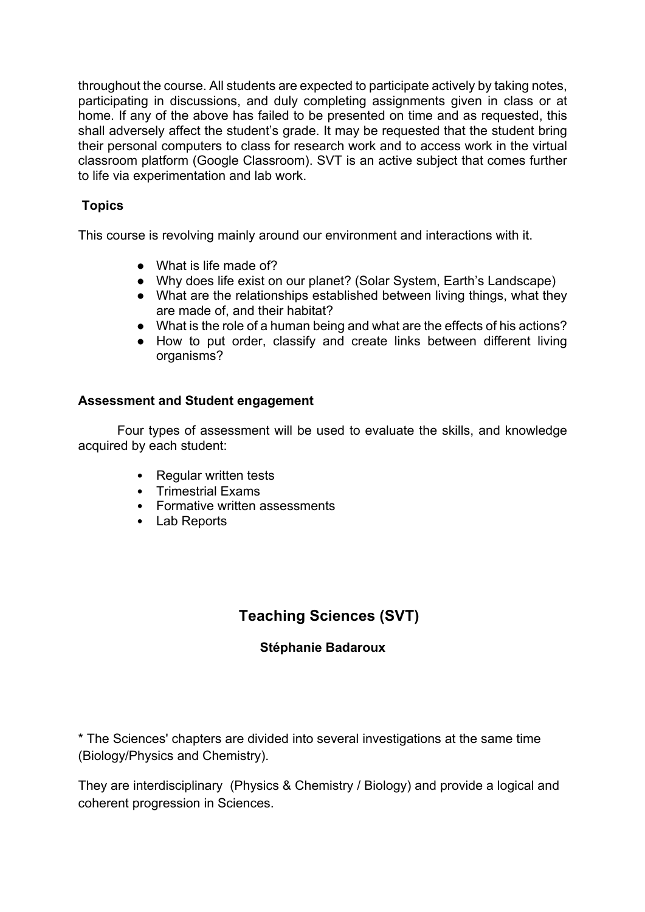throughout the course. All students are expected to participate actively by taking notes, participating in discussions, and duly completing assignments given in class or at home. If any of the above has failed to be presented on time and as requested, this shall adversely affect the student's grade. It may be requested that the student bring their personal computers to class for research work and to access work in the virtual classroom platform (Google Classroom). SVT is an active subject that comes further to life via experimentation and lab work.

## **Topics**

This course is revolving mainly around our environment and interactions with it.

- What is life made of?
- Why does life exist on our planet? (Solar System, Earth's Landscape)
- What are the relationships established between living things, what they are made of, and their habitat?
- What is the role of a human being and what are the effects of his actions?
- How to put order, classify and create links between different living organisms?

#### **Assessment and Student engagement**

Four types of assessment will be used to evaluate the skills, and knowledge acquired by each student:

- Regular written tests
- Trimestrial Exams
- Formative written assessments
- Lab Reports

# **Teaching Sciences (SVT)**

## **Stéphanie Badaroux**

\* The Sciences' chapters are divided into several investigations at the same time (Biology/Physics and Chemistry).

They are interdisciplinary (Physics & Chemistry / Biology) and provide a logical and coherent progression in Sciences.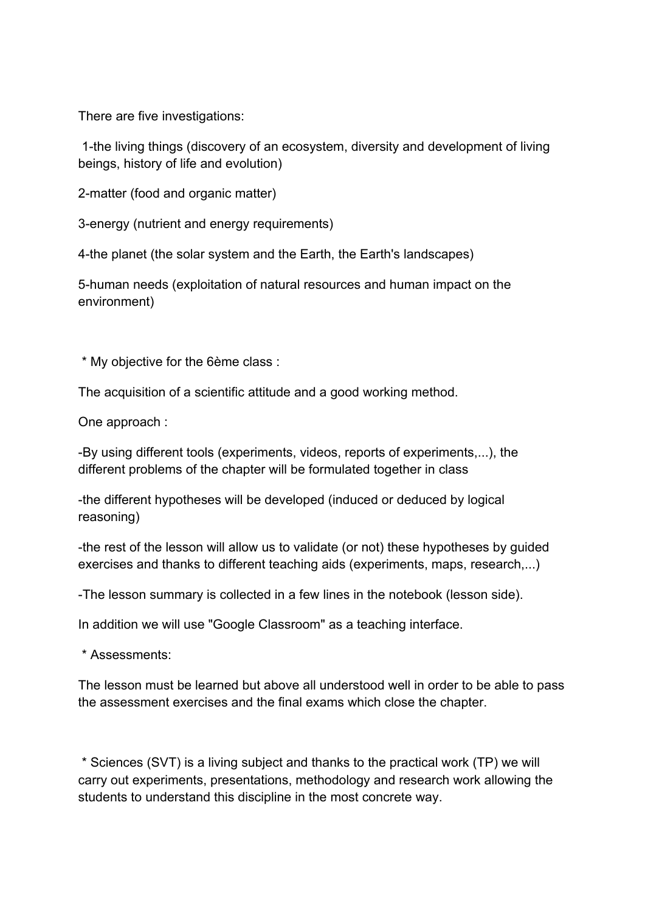There are five investigations:

1-the living things (discovery of an ecosystem, diversity and development of living beings, history of life and evolution)

2-matter (food and organic matter)

3-energy (nutrient and energy requirements)

4-the planet (the solar system and the Earth, the Earth's landscapes)

5-human needs (exploitation of natural resources and human impact on the environment)

\* My objective for the 6ème class :

The acquisition of a scientific attitude and a good working method.

One approach :

-By using different tools (experiments, videos, reports of experiments,...), the different problems of the chapter will be formulated together in class

-the different hypotheses will be developed (induced or deduced by logical reasoning)

-the rest of the lesson will allow us to validate (or not) these hypotheses by guided exercises and thanks to different teaching aids (experiments, maps, research,...)

-The lesson summary is collected in a few lines in the notebook (lesson side).

In addition we will use "Google Classroom" as a teaching interface.

\* Assessments:

The lesson must be learned but above all understood well in order to be able to pass the assessment exercises and the final exams which close the chapter.

\* Sciences (SVT) is a living subject and thanks to the practical work (TP) we will carry out experiments, presentations, methodology and research work allowing the students to understand this discipline in the most concrete way.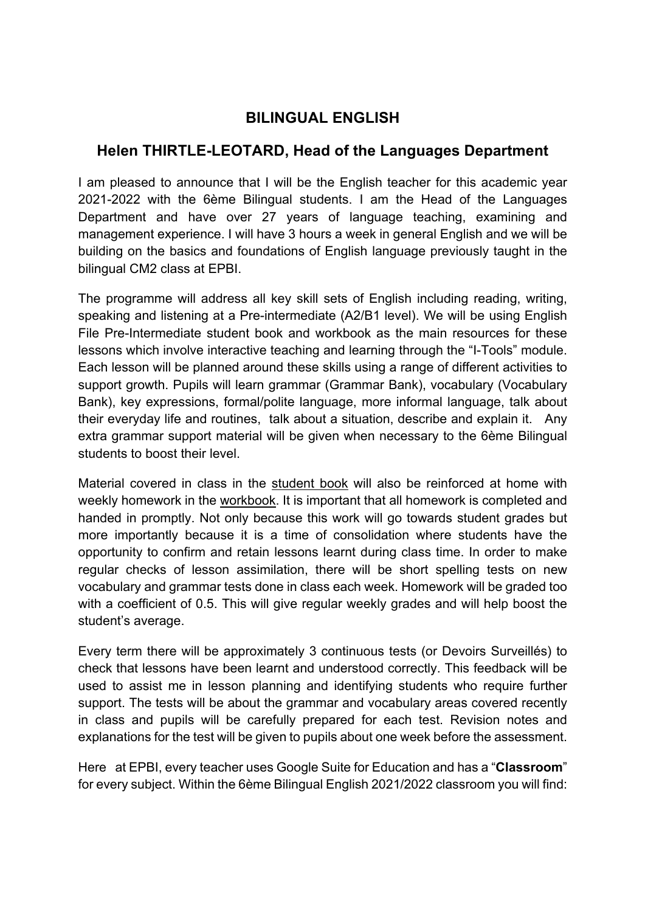# **BILINGUAL ENGLISH**

## **Helen THIRTLE-LEOTARD, Head of the Languages Department**

I am pleased to announce that I will be the English teacher for this academic year 2021-2022 with the 6ème Bilingual students. I am the Head of the Languages Department and have over 27 years of language teaching, examining and management experience. I will have 3 hours a week in general English and we will be building on the basics and foundations of English language previously taught in the bilingual CM2 class at EPBI.

The programme will address all key skill sets of English including reading, writing, speaking and listening at a Pre-intermediate (A2/B1 level). We will be using English File Pre-Intermediate student book and workbook as the main resources for these lessons which involve interactive teaching and learning through the "I-Tools" module. Each lesson will be planned around these skills using a range of different activities to support growth. Pupils will learn grammar (Grammar Bank), vocabulary (Vocabulary Bank), key expressions, formal/polite language, more informal language, talk about their everyday life and routines, talk about a situation, describe and explain it. Any extra grammar support material will be given when necessary to the 6ème Bilingual students to boost their level.

Material covered in class in the student book will also be reinforced at home with weekly homework in the workbook. It is important that all homework is completed and handed in promptly. Not only because this work will go towards student grades but more importantly because it is a time of consolidation where students have the opportunity to confirm and retain lessons learnt during class time. In order to make regular checks of lesson assimilation, there will be short spelling tests on new vocabulary and grammar tests done in class each week. Homework will be graded too with a coefficient of 0.5. This will give regular weekly grades and will help boost the student's average.

Every term there will be approximately 3 continuous tests (or Devoirs Surveillés) to check that lessons have been learnt and understood correctly. This feedback will be used to assist me in lesson planning and identifying students who require further support. The tests will be about the grammar and vocabulary areas covered recently in class and pupils will be carefully prepared for each test. Revision notes and explanations for the test will be given to pupils about one week before the assessment.

Here at EPBI, every teacher uses Google Suite for Education and has a "**Classroom**" for every subject. Within the 6ème Bilingual English 2021/2022 classroom you will find: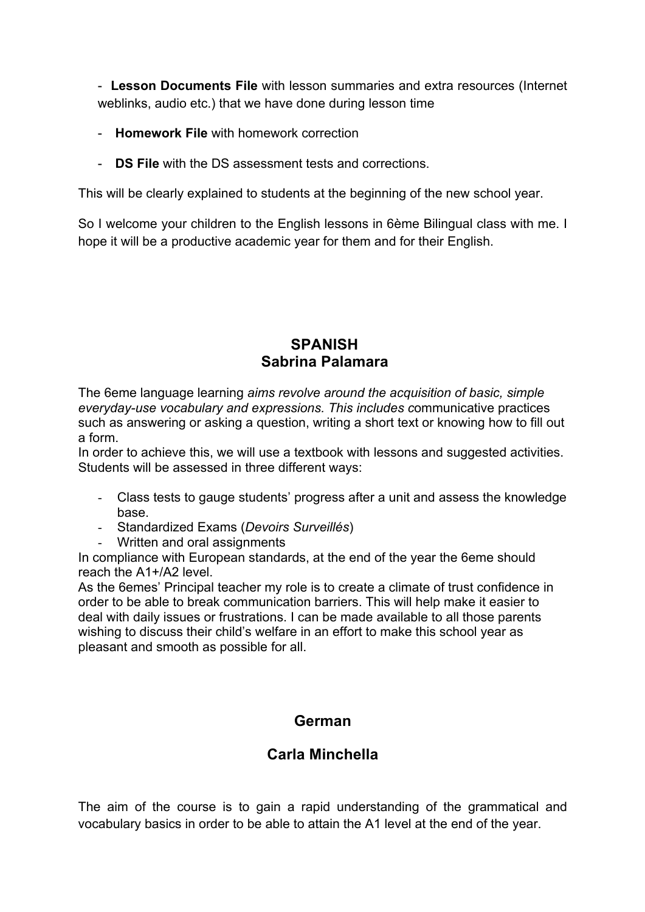- **Lesson Documents File** with lesson summaries and extra resources (Internet weblinks, audio etc.) that we have done during lesson time

- **Homework File** with homework correction
- **DS File** with the DS assessment tests and corrections.

This will be clearly explained to students at the beginning of the new school year.

So I welcome your children to the English lessons in 6ème Bilingual class with me. I hope it will be a productive academic year for them and for their English.

## **SPANISH Sabrina Palamara**

The 6eme language learning *aims revolve around the acquisition of basic, simple everyday-use vocabulary and expressions. This includes c*ommunicative practices such as answering or asking a question, writing a short text or knowing how to fill out a form.

In order to achieve this, we will use a textbook with lessons and suggested activities. Students will be assessed in three different ways:

- Class tests to gauge students' progress after a unit and assess the knowledge base.
- Standardized Exams (*Devoirs Surveillés*)
- Written and oral assignments

In compliance with European standards, at the end of the year the 6eme should reach the A1+/A2 level.

As the 6emes' Principal teacher my role is to create a climate of trust confidence in order to be able to break communication barriers. This will help make it easier to deal with daily issues or frustrations. I can be made available to all those parents wishing to discuss their child's welfare in an effort to make this school year as pleasant and smooth as possible for all.

# **German**

# **Carla Minchella**

The aim of the course is to gain a rapid understanding of the grammatical and vocabulary basics in order to be able to attain the A1 level at the end of the year.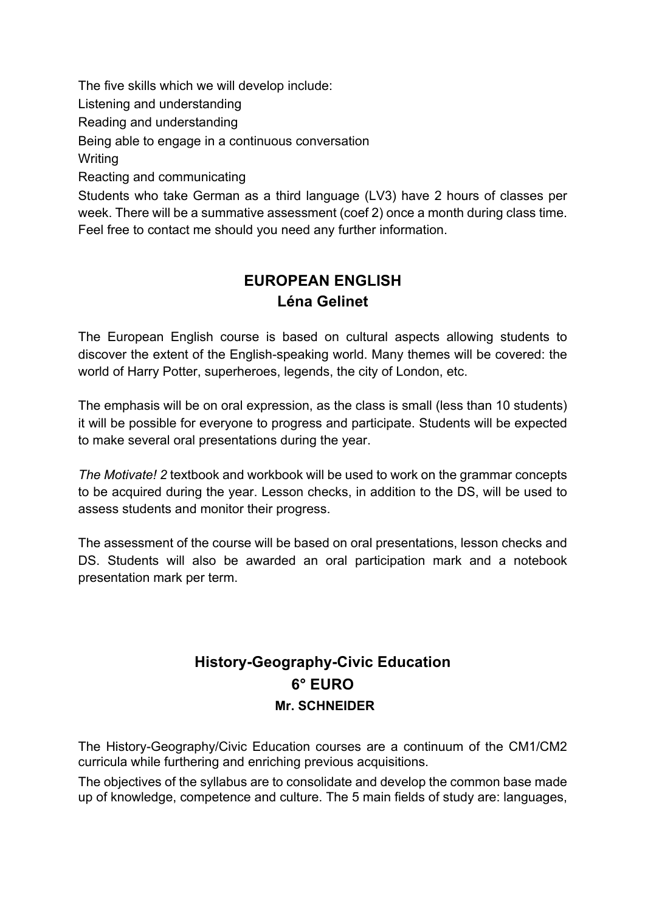The five skills which we will develop include:

Listening and understanding

Reading and understanding

Being able to engage in a continuous conversation

**Writing** 

Reacting and communicating

Students who take German as a third language (LV3) have 2 hours of classes per week. There will be a summative assessment (coef 2) once a month during class time. Feel free to contact me should you need any further information.

# **EUROPEAN ENGLISH Léna Gelinet**

The European English course is based on cultural aspects allowing students to discover the extent of the English-speaking world. Many themes will be covered: the world of Harry Potter, superheroes, legends, the city of London, etc.

The emphasis will be on oral expression, as the class is small (less than 10 students) it will be possible for everyone to progress and participate. Students will be expected to make several oral presentations during the year.

*The Motivate! 2* textbook and workbook will be used to work on the grammar concepts to be acquired during the year. Lesson checks, in addition to the DS, will be used to assess students and monitor their progress.

The assessment of the course will be based on oral presentations, lesson checks and DS. Students will also be awarded an oral participation mark and a notebook presentation mark per term.

# **History-Geography-Civic Education 6° EURO Mr. SCHNEIDER**

The History-Geography/Civic Education courses are a continuum of the CM1/CM2 curricula while furthering and enriching previous acquisitions.

The objectives of the syllabus are to consolidate and develop the common base made up of knowledge, competence and culture. The 5 main fields of study are: languages,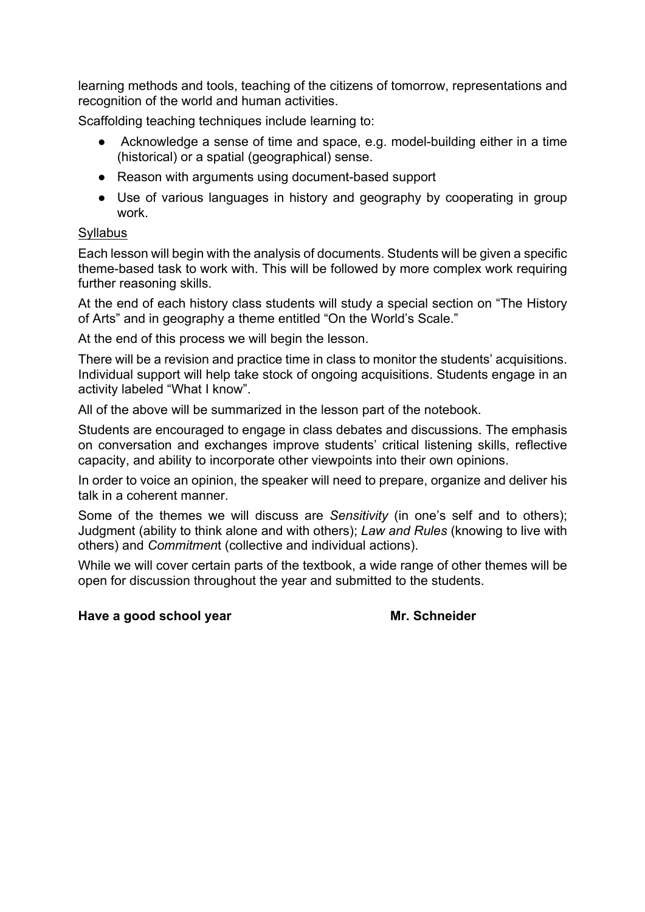learning methods and tools, teaching of the citizens of tomorrow, representations and recognition of the world and human activities.

Scaffolding teaching techniques include learning to:

- Acknowledge a sense of time and space, e.g. model-building either in a time (historical) or a spatial (geographical) sense.
- Reason with arguments using document-based support
- Use of various languages in history and geography by cooperating in group work.

## Syllabus

Each lesson will begin with the analysis of documents. Students will be given a specific theme-based task to work with. This will be followed by more complex work requiring further reasoning skills.

At the end of each history class students will study a special section on "The History of Arts" and in geography a theme entitled "On the World's Scale."

At the end of this process we will begin the lesson.

There will be a revision and practice time in class to monitor the students' acquisitions. Individual support will help take stock of ongoing acquisitions. Students engage in an activity labeled "What I know".

All of the above will be summarized in the lesson part of the notebook.

Students are encouraged to engage in class debates and discussions. The emphasis on conversation and exchanges improve students' critical listening skills, reflective capacity, and ability to incorporate other viewpoints into their own opinions.

In order to voice an opinion, the speaker will need to prepare, organize and deliver his talk in a coherent manner.

Some of the themes we will discuss are *Sensitivity* (in one's self and to others); Judgment (ability to think alone and with others); *Law and Rules* (knowing to live with others) and *Commitmen*t (collective and individual actions).

While we will cover certain parts of the textbook, a wide range of other themes will be open for discussion throughout the year and submitted to the students.

#### **Have a good school year Mr. Schneider**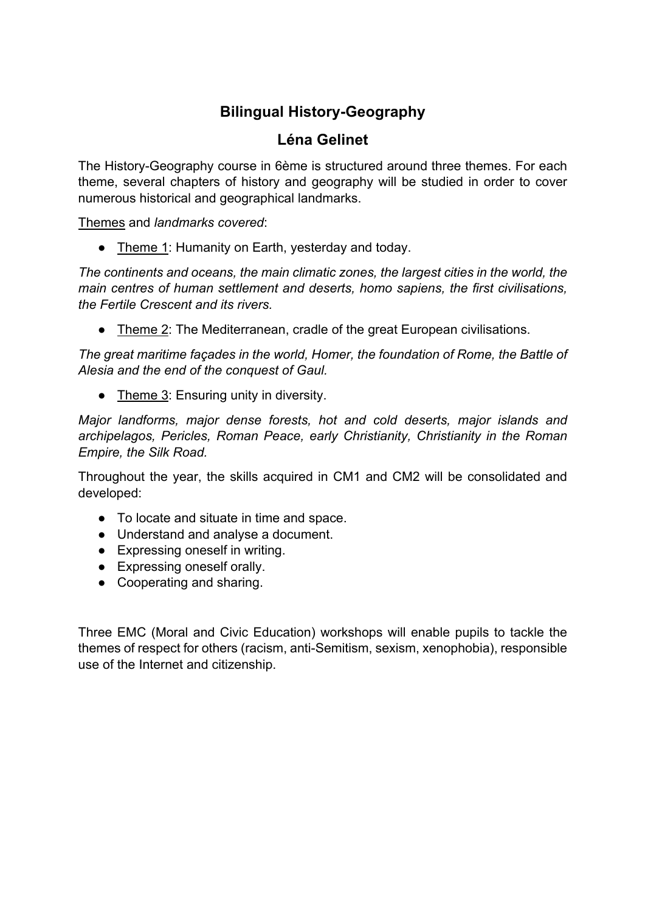# **Bilingual History-Geography**

## **Léna Gelinet**

The History-Geography course in 6ème is structured around three themes. For each theme, several chapters of history and geography will be studied in order to cover numerous historical and geographical landmarks.

Themes and *landmarks covered*:

• Theme 1: Humanity on Earth, yesterday and today.

*The continents and oceans, the main climatic zones, the largest cities in the world, the main centres of human settlement and deserts, homo sapiens, the first civilisations, the Fertile Crescent and its rivers.*

● Theme 2: The Mediterranean, cradle of the great European civilisations.

*The great maritime façades in the world, Homer, the foundation of Rome, the Battle of Alesia and the end of the conquest of Gaul.*

● Theme 3: Ensuring unity in diversity.

*Major landforms, major dense forests, hot and cold deserts, major islands and archipelagos, Pericles, Roman Peace, early Christianity, Christianity in the Roman Empire, the Silk Road.*

Throughout the year, the skills acquired in CM1 and CM2 will be consolidated and developed:

- To locate and situate in time and space.
- Understand and analyse a document.
- Expressing oneself in writing.
- Expressing oneself orally.
- Cooperating and sharing.

Three EMC (Moral and Civic Education) workshops will enable pupils to tackle the themes of respect for others (racism, anti-Semitism, sexism, xenophobia), responsible use of the Internet and citizenship.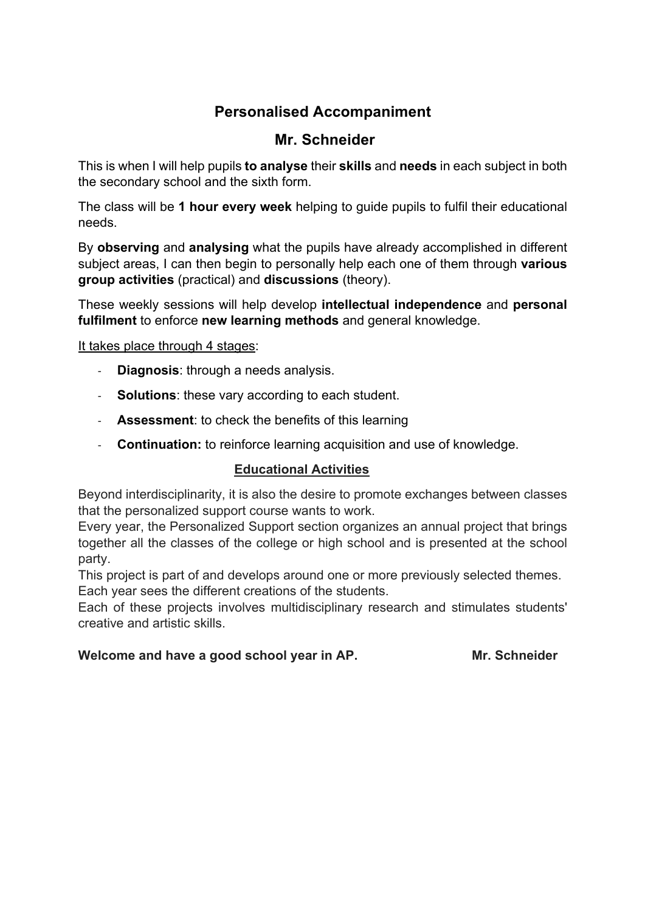# **Personalised Accompaniment**

## **Mr. Schneider**

This is when I will help pupils **to analyse** their **skills** and **needs** in each subject in both the secondary school and the sixth form.

The class will be **1 hour every week** helping to guide pupils to fulfil their educational needs.

By **observing** and **analysing** what the pupils have already accomplished in different subject areas, I can then begin to personally help each one of them through **various group activities** (practical) and **discussions** (theory).

These weekly sessions will help develop **intellectual independence** and **personal fulfilment** to enforce **new learning methods** and general knowledge.

It takes place through 4 stages:

- **Diagnosis**: through a needs analysis.
- **Solutions**: these vary according to each student.
- **Assessment**: to check the benefits of this learning
- **Continuation:** to reinforce learning acquisition and use of knowledge.

#### **Educational Activities**

Beyond interdisciplinarity, it is also the desire to promote exchanges between classes that the personalized support course wants to work.

Every year, the Personalized Support section organizes an annual project that brings together all the classes of the college or high school and is presented at the school party.

This project is part of and develops around one or more previously selected themes. Each year sees the different creations of the students.

Each of these projects involves multidisciplinary research and stimulates students' creative and artistic skills.

#### Welcome and have a good school year in AP. Mr. Schneider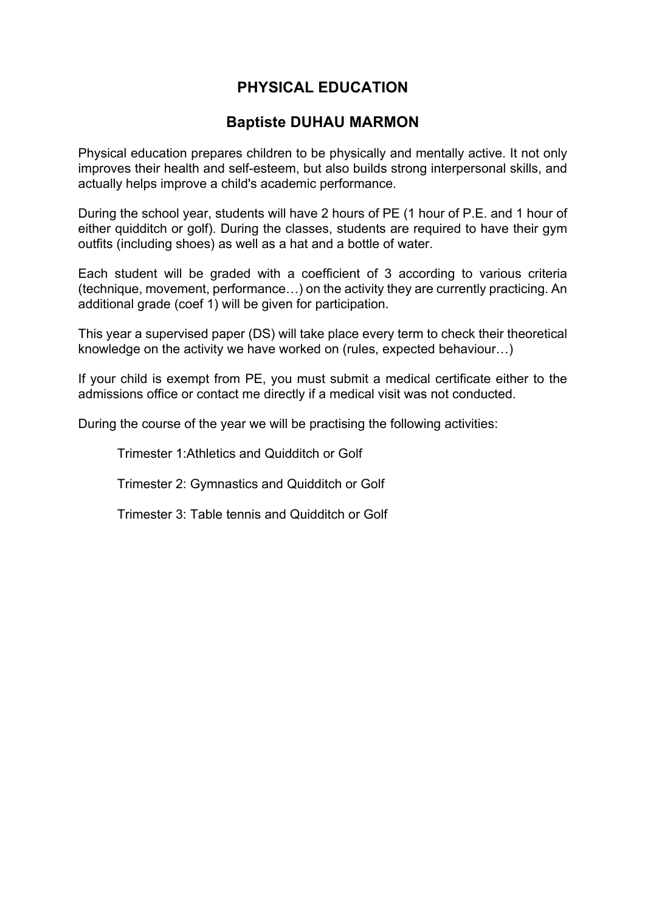# **PHYSICAL EDUCATION**

## **Baptiste DUHAU MARMON**

Physical education prepares children to be physically and mentally active. It not only improves their health and self-esteem, but also builds strong interpersonal skills, and actually helps improve a child's academic performance.

During the school year, students will have 2 hours of PE (1 hour of P.E. and 1 hour of either quidditch or golf). During the classes, students are required to have their gym outfits (including shoes) as well as a hat and a bottle of water.

Each student will be graded with a coefficient of 3 according to various criteria (technique, movement, performance…) on the activity they are currently practicing. An additional grade (coef 1) will be given for participation.

This year a supervised paper (DS) will take place every term to check their theoretical knowledge on the activity we have worked on (rules, expected behaviour…)

If your child is exempt from PE, you must submit a medical certificate either to the admissions office or contact me directly if a medical visit was not conducted.

During the course of the year we will be practising the following activities:

Trimester 1:Athletics and Quidditch or Golf

Trimester 2: Gymnastics and Quidditch or Golf

Trimester 3: Table tennis and Quidditch or Golf